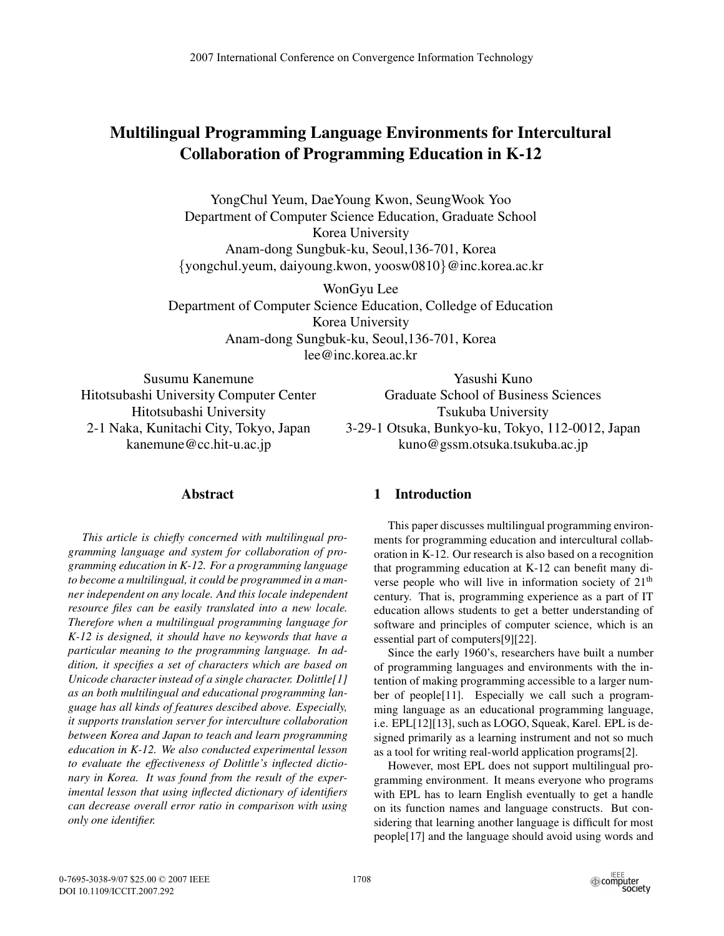# **Multilingual Programming Language Environments for Intercultural Collaboration of Programming Education in K-12**

YongChul Yeum, DaeYoung Kwon, SeungWook Yoo Department of Computer Science Education, Graduate School Korea University Anam-dong Sungbuk-ku, Seoul,136-701, Korea *{*yongchul.yeum, daiyoung.kwon, yoosw0810*}*@inc.korea.ac.kr

WonGyu Lee Department of Computer Science Education, Colledge of Education Korea University Anam-dong Sungbuk-ku, Seoul,136-701, Korea lee@inc.korea.ac.kr

Susumu Kanemune Hitotsubashi University Computer Center Hitotsubashi University 2-1 Naka, Kunitachi City, Tokyo, Japan kanemune@cc.hit-u.ac.jp

Yasushi Kuno Graduate School of Business Sciences Tsukuba University 3-29-1 Otsuka, Bunkyo-ku, Tokyo, 112-0012, Japan kuno@gssm.otsuka.tsukuba.ac.jp

## **Abstract**

*This article is chiefly concerned with multilingual programming language and system for collaboration of programming education in K-12. For a programming language to become a multilingual, it could be programmed in a manner independent on any locale. And this locale independent resource files can be easily translated into a new locale. Therefore when a multilingual programming language for K-12 is designed, it should have no keywords that have a particular meaning to the programming language. In addition, it specifies a set of characters which are based on Unicode character instead of a single character. Dolittle[1] as an both multilingual and educational programming language has all kinds of features descibed above. Especially, it supports translation server for interculture collaboration between Korea and Japan to teach and learn programming education in K-12. We also conducted experimental lesson to evaluate the effectiveness of Dolittle's inflected dictionary in Korea. It was found from the result of the experimental lesson that using inflected dictionary of identifiers can decrease overall error ratio in comparison with using only one identifier.*

# **1 Introduction**

This paper discusses multilingual programming environments for programming education and intercultural collaboration in K-12. Our research is also based on a recognition that programming education at K-12 can benefit many diverse people who will live in information society of  $21<sup>th</sup>$ century. That is, programming experience as a part of IT education allows students to get a better understanding of software and principles of computer science, which is an essential part of computers[9][22].

Since the early 1960's, researchers have built a number of programming languages and environments with the intention of making programming accessible to a larger number of people[11]. Especially we call such a programming language as an educational programming language, i.e. EPL[12][13], such as LOGO, Squeak, Karel. EPL is designed primarily as a learning instrument and not so much as a tool for writing real-world application programs[2].

However, most EPL does not support multilingual programming environment. It means everyone who programs with EPL has to learn English eventually to get a handle on its function names and language constructs. But considering that learning another language is difficult for most people[17] and the language should avoid using words and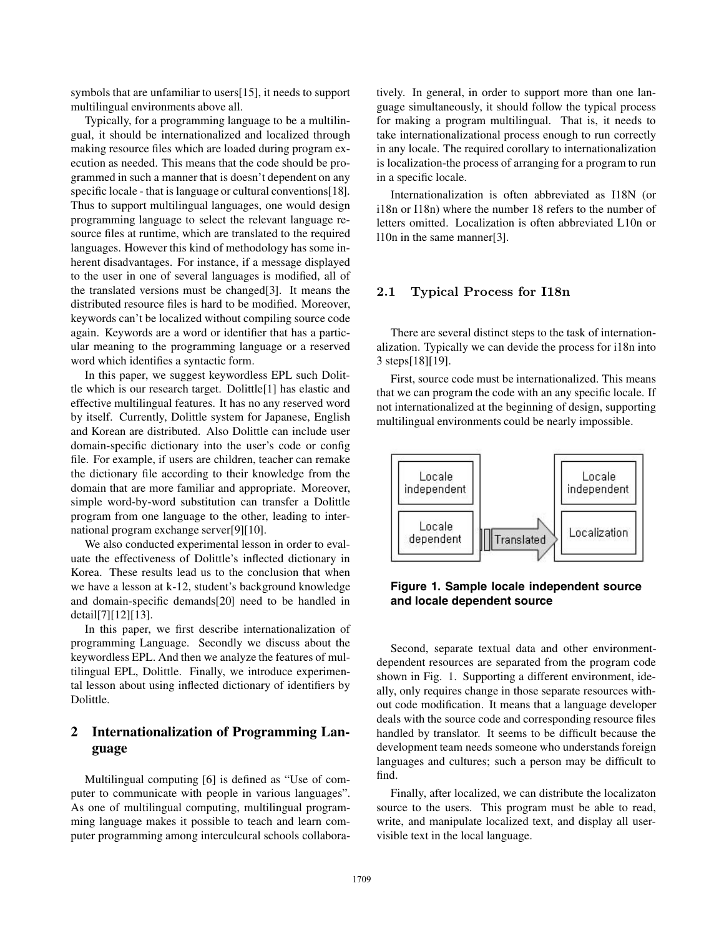symbols that are unfamiliar to users[15], it needs to support multilingual environments above all.

Typically, for a programming language to be a multilingual, it should be internationalized and localized through making resource files which are loaded during program execution as needed. This means that the code should be programmed in such a manner that is doesn't dependent on any specific locale - that is language or cultural conventions[18]. Thus to support multilingual languages, one would design programming language to select the relevant language resource files at runtime, which are translated to the required languages. However this kind of methodology has some inherent disadvantages. For instance, if a message displayed to the user in one of several languages is modified, all of the translated versions must be changed[3]. It means the distributed resource files is hard to be modified. Moreover, keywords can't be localized without compiling source code again. Keywords are a word or identifier that has a particular meaning to the programming language or a reserved word which identifies a syntactic form.

In this paper, we suggest keywordless EPL such Dolittle which is our research target. Dolittle[1] has elastic and effective multilingual features. It has no any reserved word by itself. Currently, Dolittle system for Japanese, English and Korean are distributed. Also Dolittle can include user domain-specific dictionary into the user's code or config file. For example, if users are children, teacher can remake the dictionary file according to their knowledge from the domain that are more familiar and appropriate. Moreover, simple word-by-word substitution can transfer a Dolittle program from one language to the other, leading to international program exchange server[9][10].

We also conducted experimental lesson in order to evaluate the effectiveness of Dolittle's inflected dictionary in Korea. These results lead us to the conclusion that when we have a lesson at k-12, student's background knowledge and domain-specific demands[20] need to be handled in detail[7][12][13].

In this paper, we first describe internationalization of programming Language. Secondly we discuss about the keywordless EPL. And then we analyze the features of multilingual EPL, Dolittle. Finally, we introduce experimental lesson about using inflected dictionary of identifiers by Dolittle.

# **2 Internationalization of Programming Language**

Multilingual computing [6] is defined as "Use of computer to communicate with people in various languages". As one of multilingual computing, multilingual programming language makes it possible to teach and learn computer programming among interculcural schools collaboratively. In general, in order to support more than one language simultaneously, it should follow the typical process for making a program multilingual. That is, it needs to take internationalizational process enough to run correctly in any locale. The required corollary to internationalization is localization-the process of arranging for a program to run in a specific locale.

Internationalization is often abbreviated as I18N (or i18n or I18n) where the number 18 refers to the number of letters omitted. Localization is often abbreviated L10n or l10n in the same manner[3].

### **2.1 Typical Process for I18n**

There are several distinct steps to the task of internationalization. Typically we can devide the process for i18n into 3 steps[18][19].

First, source code must be internationalized. This means that we can program the code with an any specific locale. If not internationalized at the beginning of design, supporting multilingual environments could be nearly impossible.



**Figure 1. Sample locale independent source and locale dependent source**

Second, separate textual data and other environmentdependent resources are separated from the program code shown in Fig. 1. Supporting a different environment, ideally, only requires change in those separate resources without code modification. It means that a language developer deals with the source code and corresponding resource files handled by translator. It seems to be difficult because the development team needs someone who understands foreign languages and cultures; such a person may be difficult to find.

Finally, after localized, we can distribute the localizaton source to the users. This program must be able to read, write, and manipulate localized text, and display all uservisible text in the local language.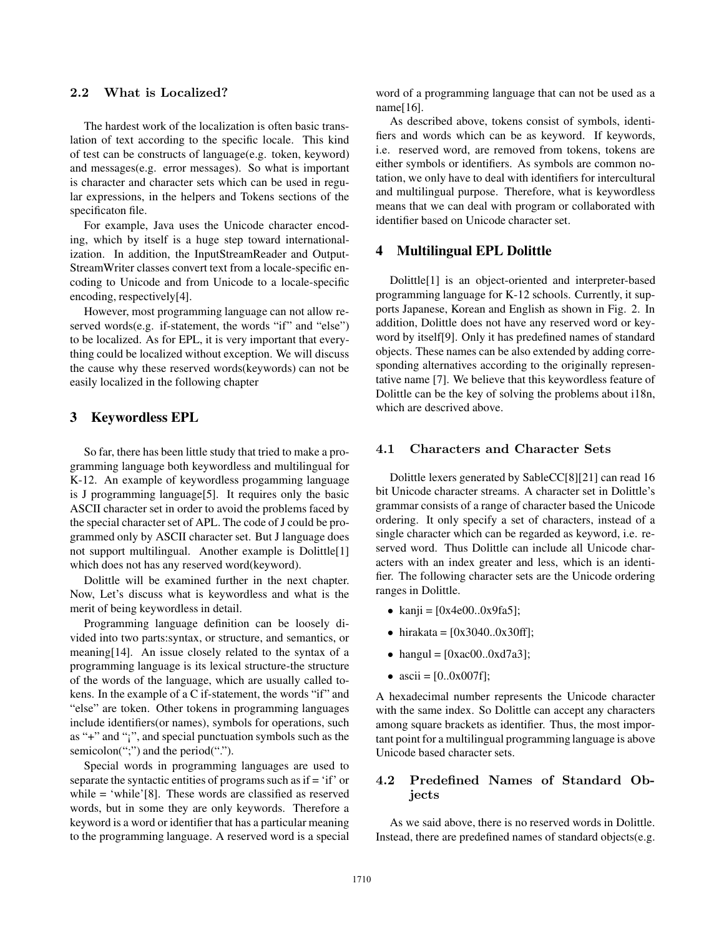#### **2.2 What is Localized?**

The hardest work of the localization is often basic translation of text according to the specific locale. This kind of test can be constructs of language(e.g. token, keyword) and messages(e.g. error messages). So what is important is character and character sets which can be used in regular expressions, in the helpers and Tokens sections of the specificaton file.

For example, Java uses the Unicode character encoding, which by itself is a huge step toward internationalization. In addition, the InputStreamReader and Output-StreamWriter classes convert text from a locale-specific encoding to Unicode and from Unicode to a locale-specific encoding, respectively[4].

However, most programming language can not allow reserved words(e.g. if-statement, the words "if" and "else") to be localized. As for EPL, it is very important that everything could be localized without exception. We will discuss the cause why these reserved words(keywords) can not be easily localized in the following chapter

### **3 Keywordless EPL**

So far, there has been little study that tried to make a programming language both keywordless and multilingual for K-12. An example of keywordless progamming language is J programming language[5]. It requires only the basic ASCII character set in order to avoid the problems faced by the special character set of APL. The code of J could be programmed only by ASCII character set. But J language does not support multilingual. Another example is Dolittle[1] which does not has any reserved word(keyword).

Dolittle will be examined further in the next chapter. Now, Let's discuss what is keywordless and what is the merit of being keywordless in detail.

Programming language definition can be loosely divided into two parts:syntax, or structure, and semantics, or meaning[14]. An issue closely related to the syntax of a programming language is its lexical structure-the structure of the words of the language, which are usually called tokens. In the example of a C if-statement, the words "if" and "else" are token. Other tokens in programming languages include identifiers(or names), symbols for operations, such as "+" and "¡", and special punctuation symbols such as the semicolon(";") and the period(".").

Special words in programming languages are used to separate the syntactic entities of programs such as if = 'if' or while = 'while'[8]. These words are classified as reserved words, but in some they are only keywords. Therefore a keyword is a word or identifier that has a particular meaning to the programming language. A reserved word is a special

word of a programming language that can not be used as a name[16].

As described above, tokens consist of symbols, identifiers and words which can be as keyword. If keywords, i.e. reserved word, are removed from tokens, tokens are either symbols or identifiers. As symbols are common notation, we only have to deal with identifiers for intercultural and multilingual purpose. Therefore, what is keywordless means that we can deal with program or collaborated with identifier based on Unicode character set.

#### **4 Multilingual EPL Dolittle**

Dolittle[1] is an object-oriented and interpreter-based programming language for K-12 schools. Currently, it supports Japanese, Korean and English as shown in Fig. 2. In addition, Dolittle does not have any reserved word or keyword by itself[9]. Only it has predefined names of standard objects. These names can be also extended by adding corresponding alternatives according to the originally representative name [7]. We believe that this keywordless feature of Dolittle can be the key of solving the problems about i18n, which are descrived above.

#### **4.1 Characters and Character Sets**

Dolittle lexers generated by SableCC[8][21] can read 16 bit Unicode character streams. A character set in Dolittle's grammar consists of a range of character based the Unicode ordering. It only specify a set of characters, instead of a single character which can be regarded as keyword, i.e. reserved word. Thus Dolittle can include all Unicode characters with an index greater and less, which is an identifier. The following character sets are the Unicode ordering ranges in Dolittle.

- kanji =  $[0x4e00..0x9fa5]$ ;
- hirakata =  $[0x3040..0x30ff]$ ;
- hangul = [0xac00..0xd7a3];
- ascii = [0..0x007f];

A hexadecimal number represents the Unicode character with the same index. So Dolittle can accept any characters among square brackets as identifier. Thus, the most important point for a multilingual programming language is above Unicode based character sets.

### **4.2 Predefined Names of Standard Objects**

As we said above, there is no reserved words in Dolittle. Instead, there are predefined names of standard objects(e.g.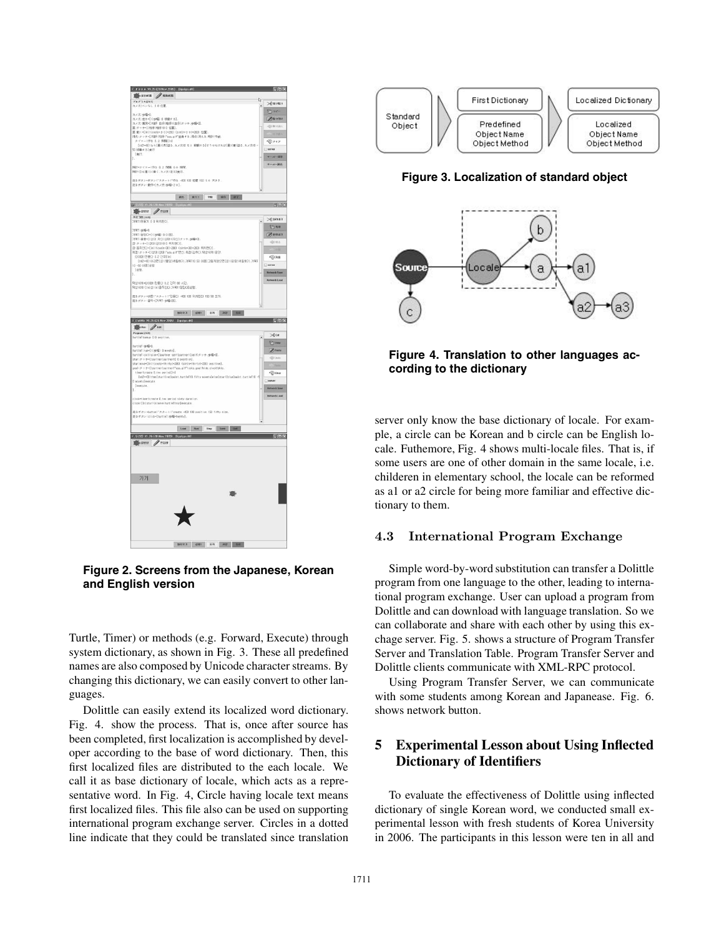

**Figure 2. Screens from the Japanese, Korean and English version**

Turtle, Timer) or methods (e.g. Forward, Execute) through system dictionary, as shown in Fig. 3. These all predefined names are also composed by Unicode character streams. By changing this dictionary, we can easily convert to other languages.

Dolittle can easily extend its localized word dictionary. Fig. 4. show the process. That is, once after source has been completed, first localization is accomplished by developer according to the base of word dictionary. Then, this first localized files are distributed to the each locale. We call it as base dictionary of locale, which acts as a representative word. In Fig. 4, Circle having locale text means first localized files. This file also can be used on supporting international program exchange server. Circles in a dotted line indicate that they could be translated since translation



**Figure 3. Localization of standard object**



**Figure 4. Translation to other languages according to the dictionary**

server only know the base dictionary of locale. For example, a circle can be Korean and b circle can be English locale. Futhemore, Fig. 4 shows multi-locale files. That is, if some users are one of other domain in the same locale, i.e. childeren in elementary school, the locale can be reformed as a1 or a2 circle for being more familiar and effective dictionary to them.

#### **4.3 International Program Exchange**

Simple word-by-word substitution can transfer a Dolittle program from one language to the other, leading to international program exchange. User can upload a program from Dolittle and can download with language translation. So we can collaborate and share with each other by using this exchage server. Fig. 5. shows a structure of Program Transfer Server and Translation Table. Program Transfer Server and Dolittle clients communicate with XML-RPC protocol.

Using Program Transfer Server, we can communicate with some students among Korean and Japanease. Fig. 6. shows network button.

# **5 Experimental Lesson about Using Inflected Dictionary of Identifiers**

To evaluate the effectiveness of Dolittle using inflected dictionary of single Korean word, we conducted small experimental lesson with fresh students of Korea University in 2006. The participants in this lesson were ten in all and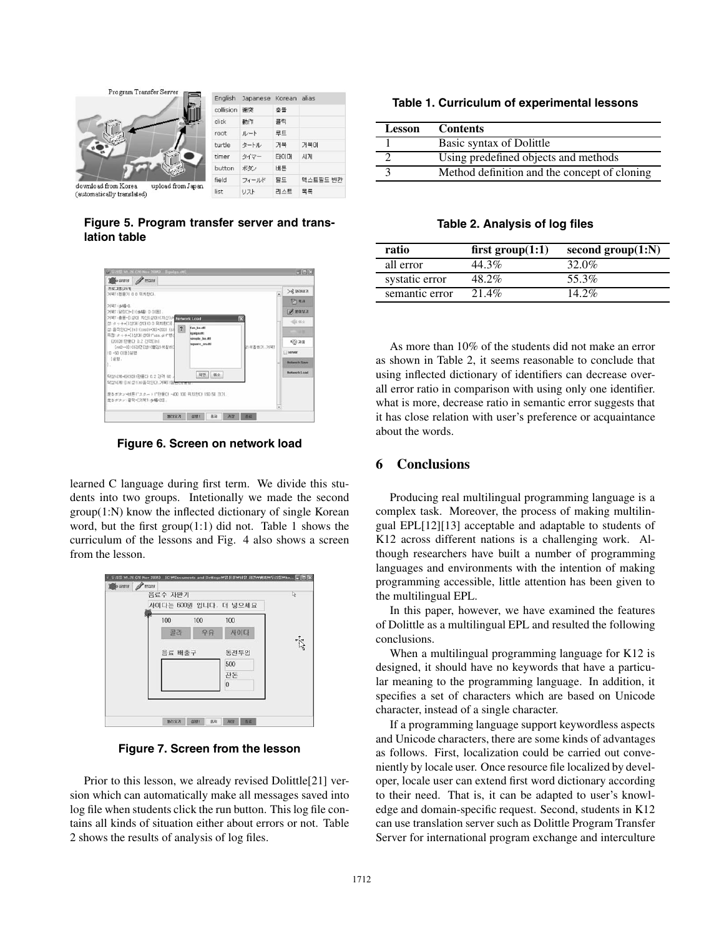

**Figure 5. Program transfer server and translation table**



**Figure 6. Screen on network load**

learned C language during first term. We divide this students into two groups. Intetionally we made the second group(1:N) know the inflected dictionary of single Korean word, but the first group(1:1) did not. Table 1 shows the curriculum of the lessons and Fig. 4 also shows a screen from the lesson.

|  | 음료수 자판기 |     | 사이다는 600원 입니다. 더 넣으세요 | Þ         |
|--|---------|-----|-----------------------|-----------|
|  | 100     | 100 | 100                   |           |
|  | 골라      | 우유  | 사이다                   |           |
|  | 음료 배출구  |     | 동전투입                  | $\vec{k}$ |
|  |         |     | 500                   |           |
|  |         |     | 작돈<br>$\bf{0}$        |           |
|  |         |     |                       |           |

**Figure 7. Screen from the lesson**

Prior to this lesson, we already revised Dolittle[21] version which can automatically make all messages saved into log file when students click the run button. This log file contains all kinds of situation either about errors or not. Table 2 shows the results of analysis of log files.

**Table 1. Curriculum of experimental lessons**

| <b>Lesson</b> | <b>Contents</b>                              |
|---------------|----------------------------------------------|
|               | Basic syntax of Dolittle                     |
|               | Using predefined objects and methods         |
|               | Method definition and the concept of cloning |

### **Table 2. Analysis of log files**

| ratio          | first $group(1:1)$ | second $group(1:N)$ |
|----------------|--------------------|---------------------|
| all error      | 44.3%              | $32.0\%$            |
| systatic error | 48.2%              | 55.3%               |
| semantic error | $21.4\%$           | $14.2\%$            |

As more than 10% of the students did not make an error as shown in Table 2, it seems reasonable to conclude that using inflected dictionary of identifiers can decrease overall error ratio in comparison with using only one identifier. what is more, decrease ratio in semantic error suggests that it has close relation with user's preference or acquaintance about the words.

# **6 Conclusions**

Producing real multilingual programming language is a complex task. Moreover, the process of making multilingual EPL[12][13] acceptable and adaptable to students of K12 across different nations is a challenging work. Although researchers have built a number of programming languages and environments with the intention of making programming accessible, little attention has been given to the multilingual EPL.

In this paper, however, we have examined the features of Dolittle as a multilingual EPL and resulted the following conclusions.

When a multilingual programming language for K12 is designed, it should have no keywords that have a particular meaning to the programming language. In addition, it specifies a set of characters which are based on Unicode character, instead of a single character.

If a programming language support keywordless aspects and Unicode characters, there are some kinds of advantages as follows. First, localization could be carried out conveniently by locale user. Once resource file localized by developer, locale user can extend first word dictionary according to their need. That is, it can be adapted to user's knowledge and domain-specific request. Second, students in K12 can use translation server such as Dolittle Program Transfer Server for international program exchange and interculture